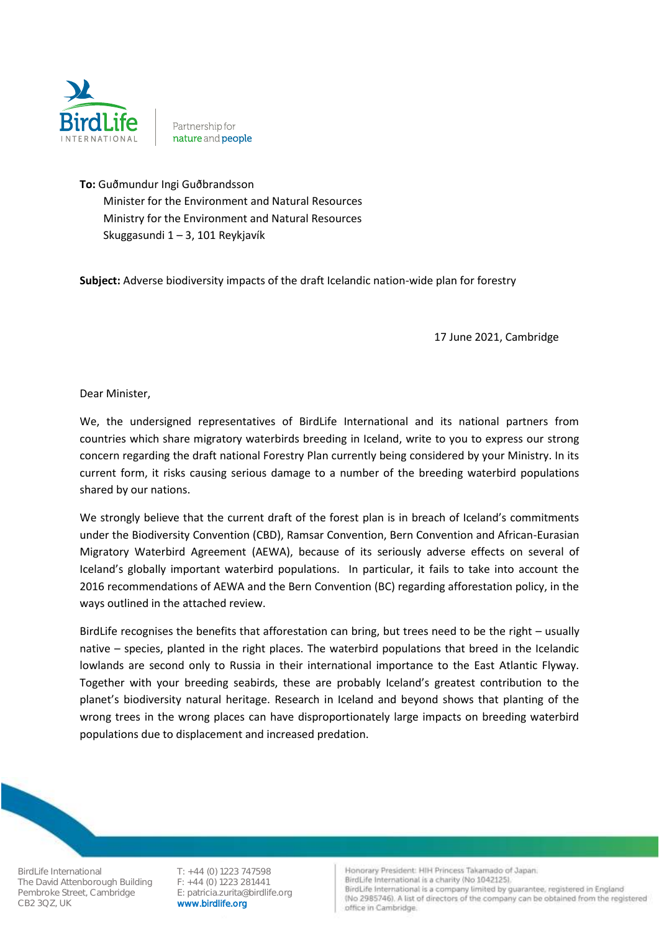

Partnership for nature and people

**To:** Guðmundur Ingi Guðbrandsson Minister for the Environment and Natural Resources Ministry for the Environment and Natural Resources Skuggasundi 1 – 3, 101 Reykjavík

**Subject:** Adverse biodiversity impacts of the draft Icelandic nation-wide plan for forestry

17 June 2021, Cambridge

Dear Minister,

We, the undersigned representatives of BirdLife International and its national partners from countries which share migratory waterbirds breeding in Iceland, write to you to express our strong concern regarding the draft national Forestry Plan currently being considered by your Ministry. In its current form, it risks causing serious damage to a number of the breeding waterbird populations shared by our nations.

We strongly believe that the current draft of the forest plan is in breach of Iceland's commitments under the Biodiversity Convention (CBD), Ramsar Convention, Bern Convention and African-Eurasian Migratory Waterbird Agreement (AEWA), because of its seriously adverse effects on several of Iceland's globally important waterbird populations. In particular, it fails to take into account the 2016 recommendations of AEWA and the Bern Convention (BC) regarding afforestation policy, in the ways outlined in the attached review.

BirdLife recognises the benefits that afforestation can bring, but trees need to be the right – usually native – species, planted in the right places. The waterbird populations that breed in the Icelandic lowlands are second only to Russia in their international importance to the East Atlantic Flyway. Together with your breeding seabirds, these are probably Iceland's greatest contribution to the planet's biodiversity natural heritage. Research in Iceland and beyond shows that planting of the wrong trees in the wrong places can have disproportionately large impacts on breeding waterbird populations due to displacement and increased predation.

BirdLife International T: +44 (0) 1223 747598<br>The David Attenborough Building F: +44 (0) 1223 281441 The David Attenborough Building Pembroke Street, Cambridge E: patricia.zurita@birdlife.org<br>CB2 3QZ, UK CB2 3QZ, UK

www.birdlife.org

Honorary President: HIH Princess Takamado of Japan. BirdLife International is a charity (No 1042125).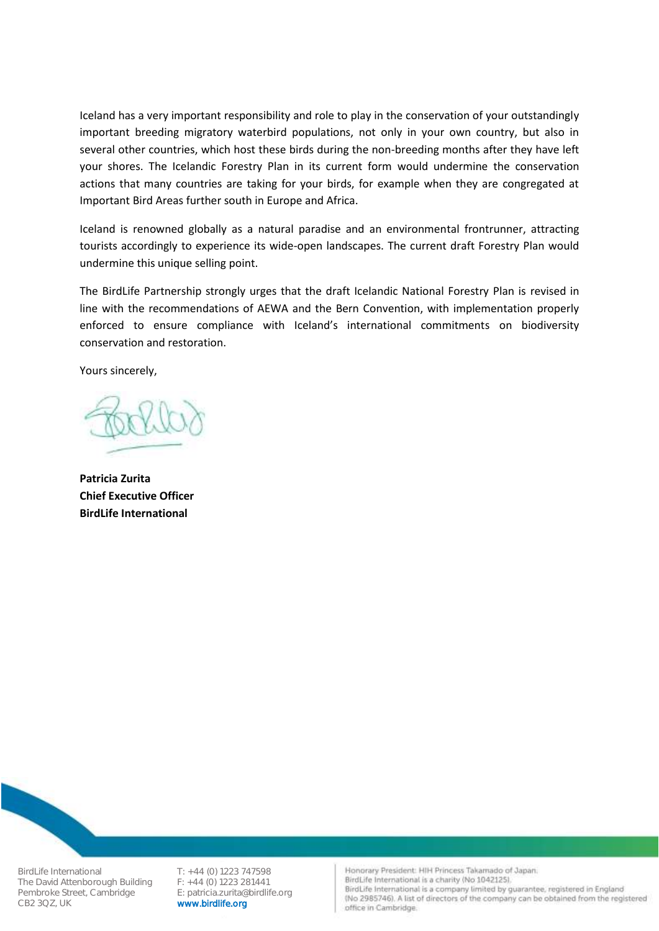Iceland has a very important responsibility and role to play in the conservation of your outstandingly important breeding migratory waterbird populations, not only in your own country, but also in several other countries, which host these birds during the non-breeding months after they have left your shores. The Icelandic Forestry Plan in its current form would undermine the conservation actions that many countries are taking for your birds, for example when they are congregated at Important Bird Areas further south in Europe and Africa.

Iceland is renowned globally as a natural paradise and an environmental frontrunner, attracting tourists accordingly to experience its wide-open landscapes. The current draft Forestry Plan would undermine this unique selling point.

The BirdLife Partnership strongly urges that the draft Icelandic National Forestry Plan is revised in line with the recommendations of AEWA and the Bern Convention, with implementation properly enforced to ensure compliance with Iceland's international commitments on biodiversity conservation and restoration.

Yours sincerely,

**Patricia Zurita Chief Executive Officer BirdLife International**

BirdLife International T: +44 (0) 1223 747598<br>The David Attenborough Building F: +44 (0) 1223 281441 The David Attenborough Building Pembroke Street, Cambridge E: patricia.zurita@birdlife.org<br>CB2 3QZ, UK CRP Notworker CB2 3QZ, UK

www.birdlife.org

Honorary President: HIH Princess Takamado of Japan.

BirdLife International is a charity (No 1042125).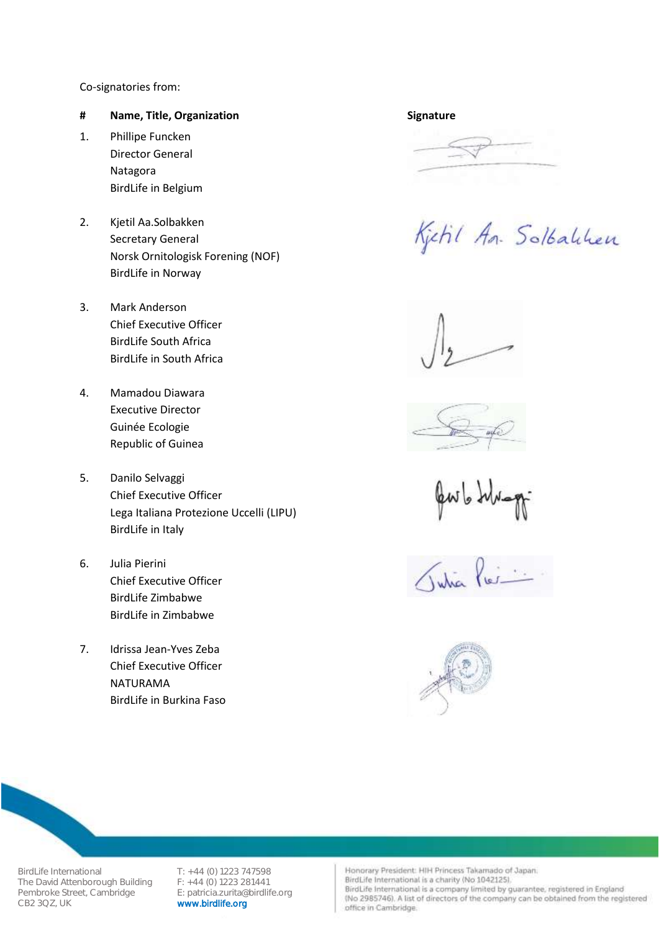## Co-signatories from:

## **# Name, Title, Organization** Signature

- 1. Phillipe Funcken Director General Natagora BirdLife in Belgium
- 2. Kjetil Aa.Solbakken Secretary General Norsk Ornitologisk Forening (NOF) BirdLife in Norway
- 3. Mark Anderson Chief Executive Officer BirdLife South Africa BirdLife in South Africa
- 4. Mamadou Diawara Executive Director Guinée Ecologie Republic of Guinea
- 5. Danilo Selvaggi Chief Executive Officer Lega Italiana Protezione Uccelli (LIPU) BirdLife in Italy
- 6. Julia Pierini Chief Executive Officer BirdLife Zimbabwe BirdLife in Zimbabwe
- 7. Idrissa Jean-Yves Zeba Chief Executive Officer NATURAMA BirdLife in Burkina Faso





Kjetil An. Solbabben





Tutia



BirdLife International T: +44 (0) 1223 747598<br>The David Attenborough Building F: +44 (0) 1223 281441 The David Attenborough Building Pembroke Street, Cambridge E: patricia.zurita@birdlife.org<br>CB2 3QZ, UK WWW.birdlife.org

www.birdlife.org

Honorary President: HIH Princess Takamado of Japan.

BirdLife International is a charity (No 1042125).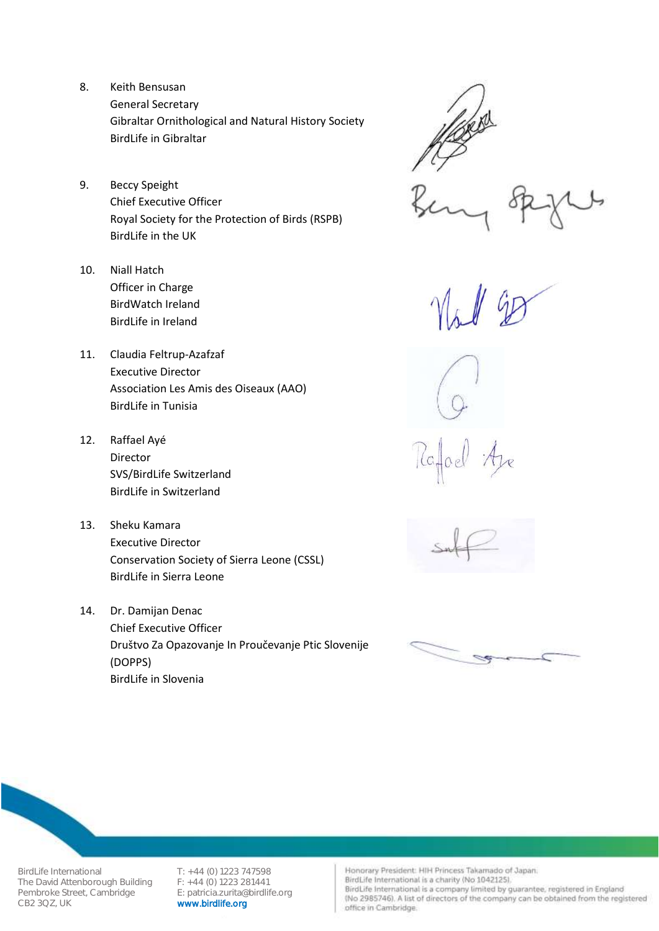- 8. Keith Bensusan General Secretary Gibraltar Ornithological and Natural History Society BirdLife in Gibraltar
- 9. Beccy Speight Chief Executive Officer Royal Society for the Protection of Birds (RSPB) BirdLife in the UK
- 10. Niall Hatch Officer in Charge BirdWatch Ireland BirdLife in Ireland
- 11. Claudia Feltrup-Azafzaf Executive Director Association Les Amis des Oiseaux (AAO) BirdLife in Tunisia
- 12. Raffael Ayé Director SVS/BirdLife Switzerland BirdLife in Switzerland
- 13. Sheku Kamara Executive Director Conservation Society of Sierra Leone (CSSL) BirdLife in Sierra Leone
- 14. Dr. Damijan Denac Chief Executive Officer Društvo Za Opazovanje In Proučevanje Ptic Slovenije (DOPPS) BirdLife in Slovenia







BirdLife International T: +44 (0) 1223 747598<br>The David Attenborough Building F: +44 (0) 1223 281441 The David Attenborough Building Pembroke Street, Cambridge E: patricia.zurita@birdlife.org<br>CB2 3QZ, UK WWW.birdlife.org

www.birdlife.org

Honorary President: HIH Princess Takamado of Japan.

BirdLife International is a charity (No 1042125).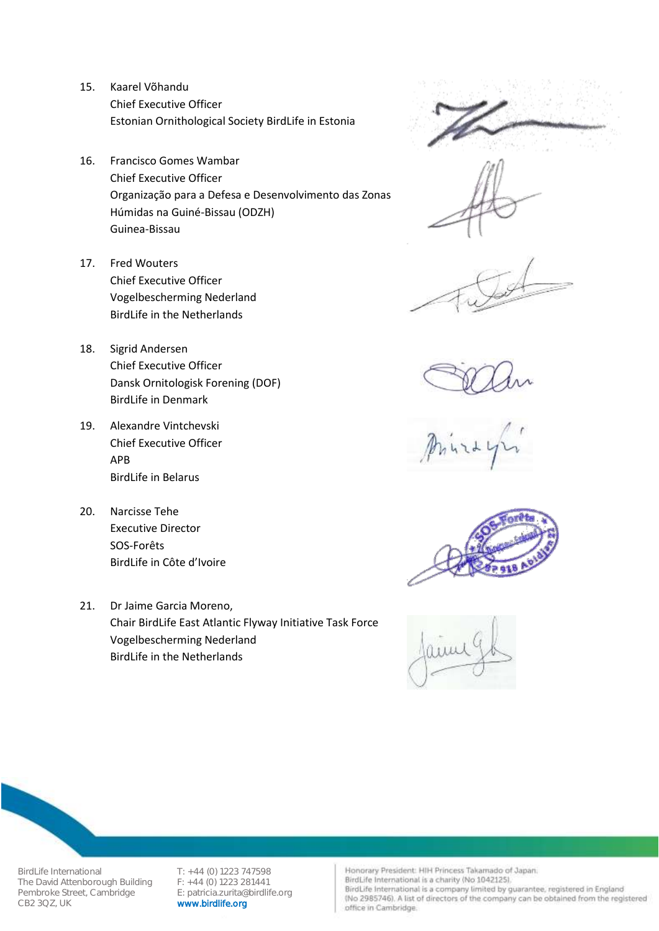- 15. Kaarel Võhandu Chief Executive Officer Estonian Ornithological Society BirdLife in Estonia
- 16. Francisco Gomes Wambar Chief Executive Officer Organização para a Defesa e Desenvolvimento das Zonas Húmidas na Guiné-Bissau (ODZH) Guinea-Bissau
- 17. Fred Wouters Chief Executive Officer Vogelbescherming Nederland BirdLife in the Netherlands
- 18. Sigrid Andersen Chief Executive Officer Dansk Ornitologisk Forening (DOF) BirdLife in Denmark
- 19. Alexandre Vintchevski Chief Executive Officer APB BirdLife in Belarus
- 20. Narcisse Tehe Executive Director SOS-Forêts BirdLife in Côte d'Ivoire
- 21. Dr Jaime Garcia Moreno, Chair BirdLife East Atlantic Flyway Initiative Task Force Vogelbescherming Nederland BirdLife in the Netherlands







## BirdLife International T: +44 (0) 1223 747598<br>The David Attenborough Building F: +44 (0) 1223 281441 The David Attenborough Building Pembroke Street, Cambridge E: patricia.zurita@birdlife.org<br>CB2 3QZ, UK WWW.birdlife.org

www.birdlife.org

Honorary President: HIH Princess Takamado of Japan.

BirdLife International is a charity (No 1042125).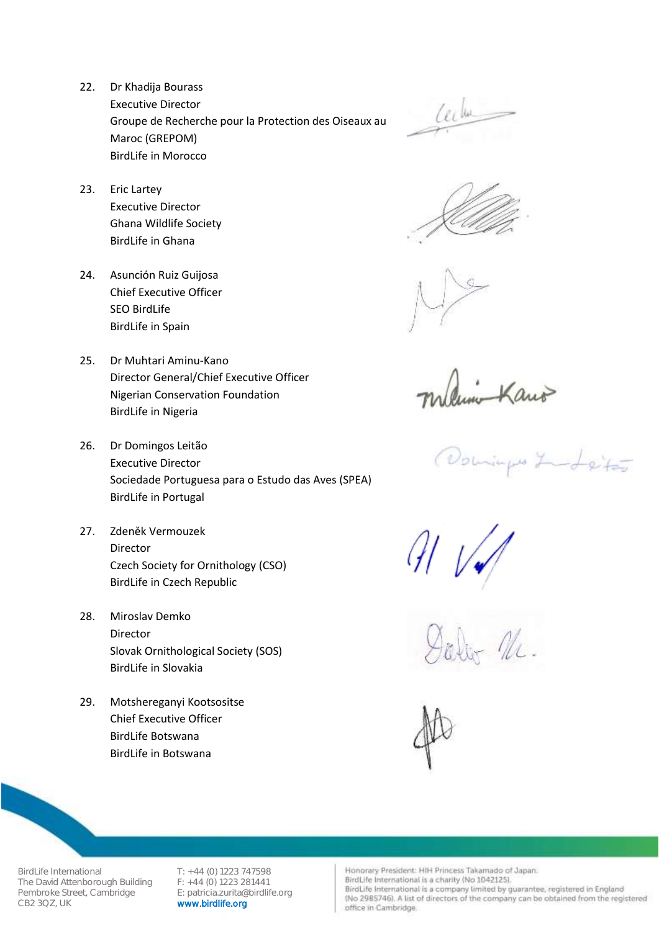22. Dr Khadija Bourass Executive Director Groupe de Recherche pour la Protection des Oiseaux au Maroc (GREPOM) BirdLife in Morocco

23. Eric Lartey Executive Director Ghana Wildlife Society BirdLife in Ghana

24. Asunción Ruiz Guijosa Chief Executive Officer SEO BirdLife BirdLife in Spain

25. Dr Muhtari Aminu-Kano Director General/Chief Executive Officer Nigerian Conservation Foundation BirdLife in Nigeria

- 26. Dr Domingos Leitão Executive Director Sociedade Portuguesa para o Estudo das Aves (SPEA) BirdLife in Portugal
- 27. Zdeněk Vermouzek Director Czech Society for Ornithology (CSO) BirdLife in Czech Republic
- 28. Miroslav Demko Director Slovak Ornithological Society (SOS) BirdLife in Slovakia
- 29. Motshereganyi Kootsositse Chief Executive Officer BirdLife Botswana BirdLife in Botswana

Lecture



Kano

Domings Land etas

 $\mathcal{M}$ 



BirdLife International T: +44 (0) 1223 747598<br>The David Attenborough Building F: +44 (0) 1223 281441 The David Attenborough Building Pembroke Street, Cambridge E: patricia.zurita@birdlife.org<br>CB2 3QZ, UK WWW.birdlife.org

www.birdlife.org

Honorary President: HIH Princess Takamado of Japan.

BirdLife International is a charity (No 1042125).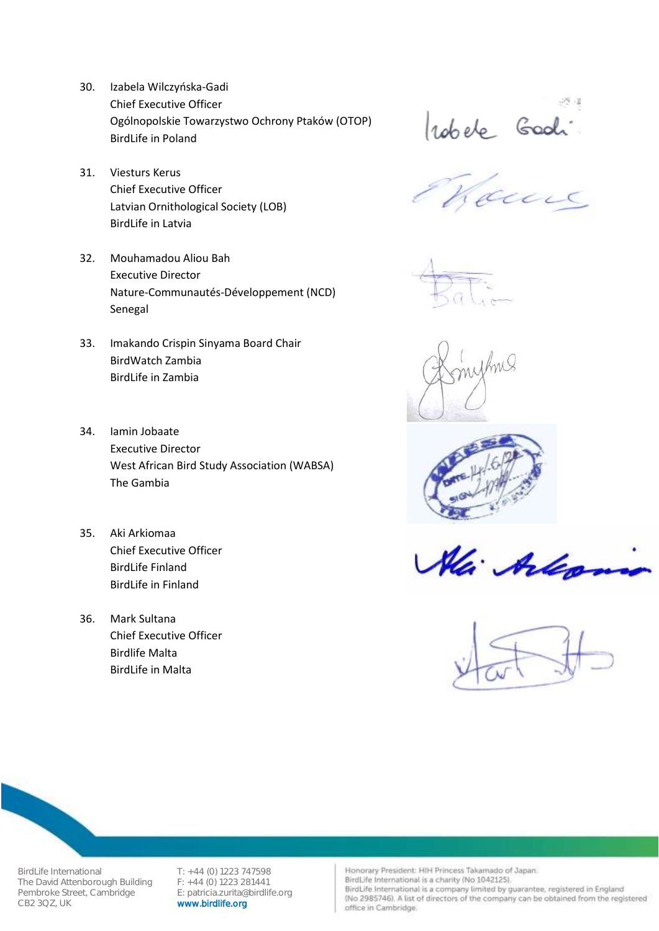- 30. Izabela Wilczyńska-Gadi Chief Executive Officer Ogólnopolskie Towarzystwo Ochrony Ptaków (OTOP) BirdLife in Poland
- 31. Viesturs Kerus Chief Executive Officer Latvian Ornithological Society (LOB) BirdLife in Latvia
- 32. Mouhamadou Aliou Bah Executive Director Nature-Communautés-Développement (NCD) Senegal
- 33. Imakando Crispin Sinyama Board Chair BirdWatch Zambia BirdLife in Zambia
- 34. Iamin Jobaate Executive Director West African Bird Study Association (WABSA) The Gambia
- 35. Aki Arkiomaa Chief Executive Officer BirdLife Finland BirdLife in Finland
- 36. Mark Sultana Chief Executive Officer Birdlife Malta BirdLife in Malta

robele Goodi











BirdLife International T: +44 (0) 1223 747598<br>The David Attenborough Building F: +44 (0) 1223 281441 The David Attenborough Building Pembroke Street, Cambridge E: patricia.zurita@birdlife.org<br>CB2 3QZ, UK WWW.birdlife.org

www.birdlife.org

Honorary President: HIH Princess Takamado of Japan.

BirdLife International is a charity (No 1042125).